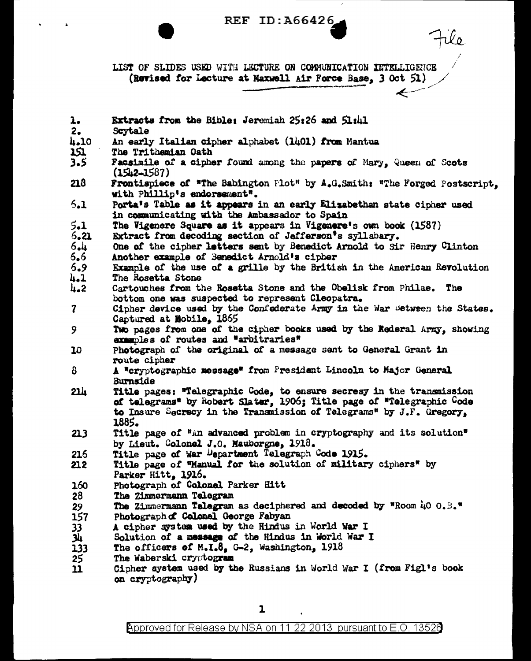REF ID: A66426

LIST OF SLIDES USED WITH LECTURE ON COMMUNICATION INTELLIGENCE (Revised for Lecture at Maxwell Air Force Base, 3 Oct 51)

Extracts from the Bible: Jeremiah 25:26 and 51:41  $\mathbf{1}$  $2.$ Scytale 4.10 An early Italian cipher alphabet (1401) from Mantua 151 The Trithemian Oath  $3.5$ Facsimile of a cipher found among the papers of Mary, Queen of Scots  $(1512 - 1587)$ 218 Frontispiece of "The Babington Plot" by A.G.Smith: "The Forged Postscript. with Phillip's endorsement".  $5.1$ Porta's Table as it appears in an early Elizabethan state cipher used in communicating with the Ambassador to Spain  $5.1$ The Vigenere Square as it appears in Vigenere's own book (1587)  $6.21$ Extract from decoding section of Jefferson's syllabary.  $6.4$ One of the cipher letters sent by Benedict Arnold to Sir Henry Clinton Another example of Benedict Arnold's cipher  $6.6$  $6.9$ Example of the use of a grille by the British in the American Revolution  $4.1$ The Rosetta Stone  $\mu$ -2 Cartouches from the Rosetta Stone and the Obelisk from Philae. The bottom one was suspected to represent Cleopatra.  $\overline{7}$ Cipher device used by the Confederate Army in the War Between the States. Captured at Mobile, 1865 9 Two pages from one of the cipher books used by the Rederal Army, showing examples of routes and "arbitraries" 10 Photograph of the original of a message sent to General Grant in route cipher  $\mathbf{B}$ A "cryptographic message" from President Lincoln to Major General Burnside Title pages: "Telegraphic Code, to ensure secresy in the transmission of telegrams" by Robert Slater, 1906; Title page of "Telegraphic Code  $21h$ to Insure Secrecy in the Transmission of Telegrams" by J.F. Gregory. 1885. Title page of "an advanced problem in cryptography and its solution"  $213$ by Lieut. Colonel J.O. Mauborgne, 1918. 216 Title page of War Department Telegraph Code 1915.  $212$ Title page of "Manual for the solution of military ciphers" by Parker Hitt. 1916. 160 Photograph of Colonel Parker Hitt 28 The Zimmermann Telegram The Zimmermann Telegram as deciphered and decoded by "Room  $\mu$ O  $0.3$ ." 29 157 Photograph of Colonel George Fabyan A cipher system used by the Hindus in World War I  $33<sub>1</sub>$ <u>Ji</u> Solution of a message of the Hindus in World War I 133 The officers of  $M_{\bullet}I_{\bullet}\theta_{\bullet}$  G-2, Washington, 1918 The Waberski cryptogram 25 Cipher system used by the Russians in World War I (from Figl's book  $11$ on cryptography)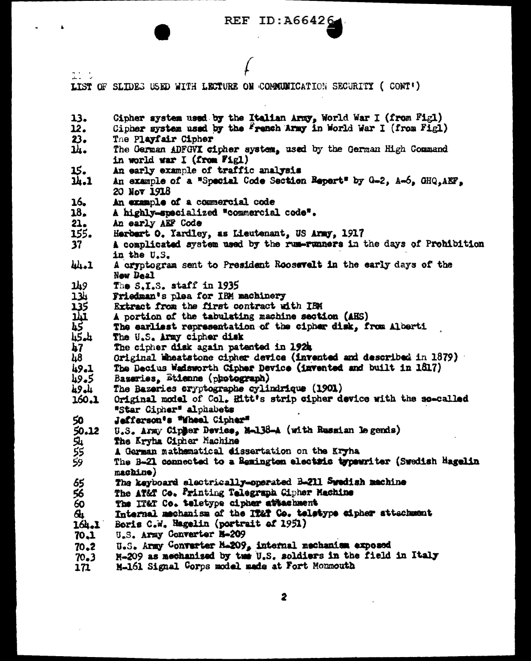## REF ID:  $A66426$

 $\mathcal{L}$ 

 $\hat{\mathbf{h}}$ 

j.

| ユーリ               |                                                                                                                                     |
|-------------------|-------------------------------------------------------------------------------------------------------------------------------------|
|                   | LIST OF SLIDES USED WITH LECTURE ON COMMUNICATION SECURITY (CONT')                                                                  |
| 13.<br>12.        | Cipher system used by the Italian Army, World War I (from Fig1)<br>Cipher system used by the French Army in World War I (from Fig1) |
| 23.               | The Playfair Cipher                                                                                                                 |
| ᄮ.                | The German ADFGVI cipher system, used by the German High Command<br>in world war I (from Fig1)                                      |
| 15.               | An early example of traffic analysis                                                                                                |
| u.1               | An example of a "Special Code Section Repart" by G-2, A-6, GHQ.AEF.<br>20 Мот 1918                                                  |
| 16.               | An example of a commercial code                                                                                                     |
| 18.               | A highly-specialized "commercial code".                                                                                             |
| 21.               | An early AEF Code                                                                                                                   |
| 155.              | Herbert O. Yardley, as Lieutenant, US Army, 1917                                                                                    |
| 37                | A complicated system used by the rum-runners in the days of Prohibition<br>in the U.S.                                              |
| 44.1              | A cryptogram sent to President Roosevelt in the early days of the<br>New Deal                                                       |
| 149               | The S.I.S. staff in 1935                                                                                                            |
|                   | Friedman's plea for IBM machinery                                                                                                   |
| <b>HARTER</b>     | Extract from the first contract with IBM                                                                                            |
|                   | A portion of the tabulating machine section (AHS)                                                                                   |
|                   | The earliest representation of the cipher disk, from Alberti                                                                        |
|                   | The U.S. Army cipher disk                                                                                                           |
| $\boldsymbol{57}$ | The cipher disk again patented in 1924                                                                                              |
| $\mu$ 8           | Original Wheatstone cipher device (invented and described in 1879)                                                                  |
| 49.1              | The Becius Wadsworth Cipher Device (invented and built in 1817)                                                                     |
| 49.5              | Bazeries, Etienne (photograph)                                                                                                      |
| 49.4              | The Bazeries cryptographe cylindrique (1901)                                                                                        |
| 160.1             | Original model of Col. Hitt's strip cipher device with the so-called                                                                |
|                   | "Star Cipher" alphabets                                                                                                             |
| 50                | Jefferson's "Wheel Cipher"                                                                                                          |
| 50.12             | U.S. Army Cipher Device, M-138-A (with Russian legends)                                                                             |
| <u>ମ</u>          | The Kryha Cipher Machine                                                                                                            |
| 芬<br>59           | A German mathematical dissertation on the Kryha                                                                                     |
|                   | The B-21 connected to a Remington electric typewriter (Swedish Hagelin                                                              |
|                   | machine)                                                                                                                            |
| 65                | The keyboard electrically-operated B-211 Swedish machine                                                                            |
| 56                | The AT&T Co. Printing Telegraph Cipher Machine                                                                                      |
| 60                | The IT&T Co. teletype cipher attachment                                                                                             |
| $\mathbf{a}$      | Internal mechanism of the IT&T Co. teletype cipher attachment                                                                       |
| 164.1             | Boris C.W. Hagelin (portrait of 1951)                                                                                               |
| 70.1              | U.S. Army Converter N-209                                                                                                           |
| 70.2              | U.S. Army Converter M.209, internal mechanism exposed                                                                               |
| 70.3              | M-209 as mechanised by tue U.S. soldiers in the field in Italy                                                                      |
| 171               | M-161 Signal Corps model made at Fort Monmouth                                                                                      |